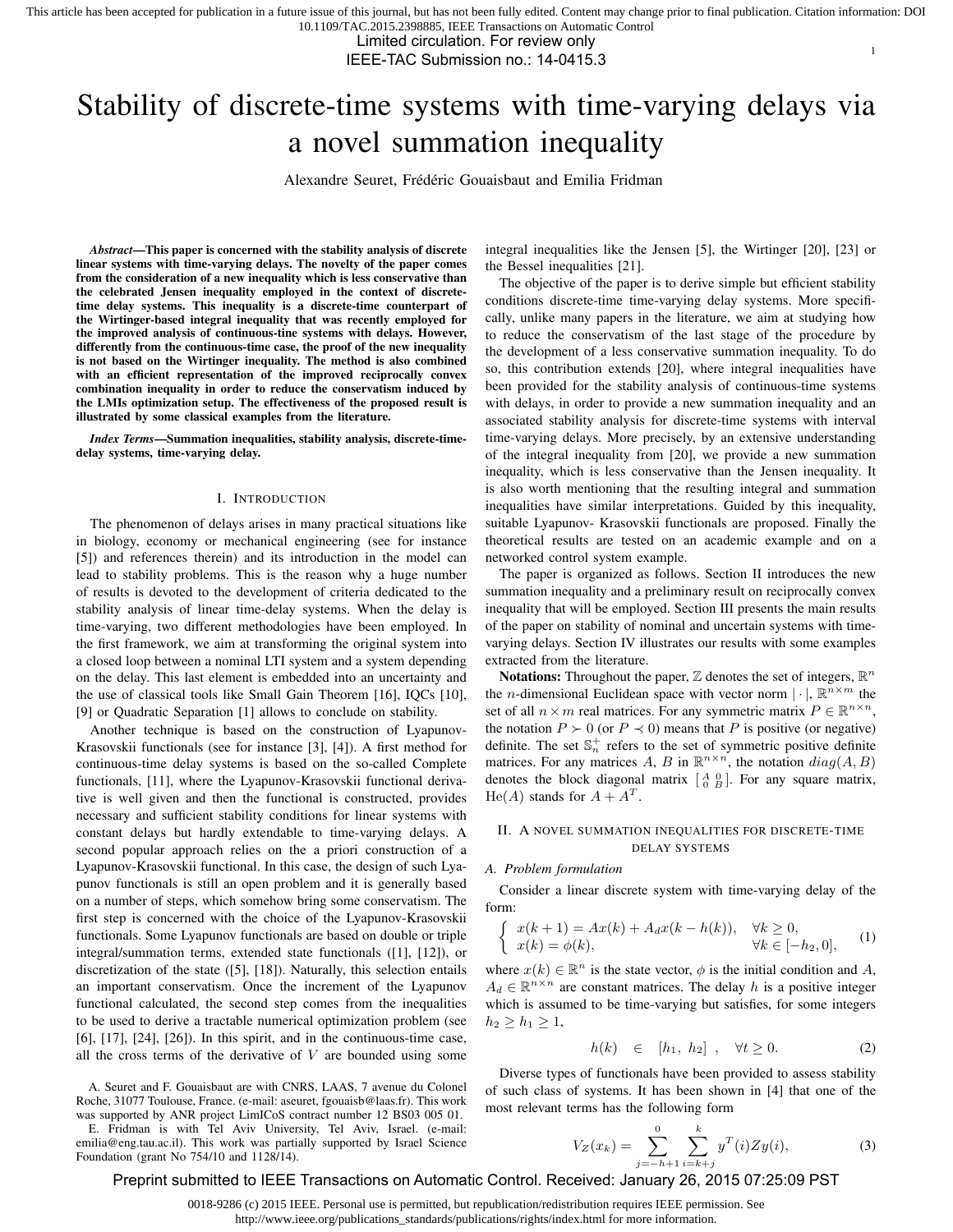Limited circulation. For review only

IEEE-TAC Submission no.: 14-0415.3

# Stability of discrete-time systems with time-varying delays via a novel summation inequality

Alexandre Seuret, Frédéric Gouaisbaut and Emilia Fridman

*Abstract*—This paper is concerned with the stability analysis of discrete linear systems with time-varying delays. The novelty of the paper comes from the consideration of a new inequality which is less conservative than the celebrated Jensen inequality employed in the context of discretetime delay systems. This inequality is a discrete-time counterpart of the Wirtinger-based integral inequality that was recently employed for the improved analysis of continuous-tine systems with delays. However, differently from the continuous-time case, the proof of the new inequality is not based on the Wirtinger inequality. The method is also combined with an efficient representation of the improved reciprocally convex combination inequality in order to reduce the conservatism induced by the LMIs optimization setup. The effectiveness of the proposed result is illustrated by some classical examples from the literature.

*Index Terms*—Summation inequalities, stability analysis, discrete-timedelay systems, time-varying delay.

#### I. INTRODUCTION

The phenomenon of delays arises in many practical situations like in biology, economy or mechanical engineering (see for instance [5]) and references therein) and its introduction in the model can lead to stability problems. This is the reason why a huge number of results is devoted to the development of criteria dedicated to the stability analysis of linear time-delay systems. When the delay is time-varying, two different methodologies have been employed. In the first framework, we aim at transforming the original system into a closed loop between a nominal LTI system and a system depending on the delay. This last element is embedded into an uncertainty and the use of classical tools like Small Gain Theorem [16], IQCs [10], [9] or Quadratic Separation [1] allows to conclude on stability.

Another technique is based on the construction of Lyapunov-Krasovskii functionals (see for instance [3], [4]). A first method for continuous-time delay systems is based on the so-called Complete functionals, [11], where the Lyapunov-Krasovskii functional derivative is well given and then the functional is constructed, provides necessary and sufficient stability conditions for linear systems with constant delays but hardly extendable to time-varying delays. A second popular approach relies on the a priori construction of a Lyapunov-Krasovskii functional. In this case, the design of such Lyapunov functionals is still an open problem and it is generally based on a number of steps, which somehow bring some conservatism. The first step is concerned with the choice of the Lyapunov-Krasovskii functionals. Some Lyapunov functionals are based on double or triple integral/summation terms, extended state functionals ([1], [12]), or discretization of the state ([5], [18]). Naturally, this selection entails an important conservatism. Once the increment of the Lyapunov functional calculated, the second step comes from the inequalities to be used to derive a tractable numerical optimization problem (see [6], [17], [24], [26]). In this spirit, and in the continuous-time case, all the cross terms of the derivative of  $V$  are bounded using some

A. Seuret and F. Gouaisbaut are with CNRS, LAAS, 7 avenue du Colonel Roche, 31077 Toulouse, France. (e-mail: aseuret, fgouaisb@laas.fr). This work was supported by ANR project LimICoS contract number 12 BS03 005 01. E. Fridman is with Tel Aviv University, Tel Aviv, Israel. (e-mail: emilia@eng.tau.ac.il). This work was partially supported by Israel Science Foundation (grant No 754/10 and 1128/14).

integral inequalities like the Jensen [5], the Wirtinger [20], [23] or the Bessel inequalities [21].

1

The objective of the paper is to derive simple but efficient stability conditions discrete-time time-varying delay systems. More specifically, unlike many papers in the literature, we aim at studying how to reduce the conservatism of the last stage of the procedure by the development of a less conservative summation inequality. To do so, this contribution extends [20], where integral inequalities have been provided for the stability analysis of continuous-time systems with delays, in order to provide a new summation inequality and an associated stability analysis for discrete-time systems with interval time-varying delays. More precisely, by an extensive understanding of the integral inequality from [20], we provide a new summation inequality, which is less conservative than the Jensen inequality. It is also worth mentioning that the resulting integral and summation inequalities have similar interpretations. Guided by this inequality, suitable Lyapunov- Krasovskii functionals are proposed. Finally the theoretical results are tested on an academic example and on a networked control system example.

The paper is organized as follows. Section II introduces the new summation inequality and a preliminary result on reciprocally convex inequality that will be employed. Section III presents the main results of the paper on stability of nominal and uncertain systems with timevarying delays. Section IV illustrates our results with some examples extracted from the literature.

**Notations:** Throughout the paper,  $\mathbb{Z}$  denotes the set of integers,  $\mathbb{R}^n$ the *n*-dimensional Euclidean space with vector norm  $|\cdot|$ ,  $\mathbb{R}^{n \times m}$  the set of all  $n \times m$  real matrices. For any symmetric matrix  $P \in \mathbb{R}^{n \times n}$ , the notation  $P \succ 0$  (or  $P \prec 0$ ) means that P is positive (or negative) definite. The set  $\mathbb{S}_n^+$  refers to the set of symmetric positive definite matrices. For any matrices A, B in  $\mathbb{R}^{n \times n}$ , the notation  $diag(A, B)$ denotes the block diagonal matrix  $\begin{bmatrix} A & 0 \\ 0 & B \end{bmatrix}$ . For any square matrix,  $He(A)$  stands for  $A + A<sup>T</sup>$ .

# II. A NOVEL SUMMATION INEQUALITIES FOR DISCRETE-TIME DELAY SYSTEMS

## *A. Problem formulation*

Consider a linear discrete system with time-varying delay of the form:

$$
\begin{cases}\nx(k+1) = Ax(k) + A_d x(k-h(k)), & \forall k \ge 0, \\
x(k) = \phi(k), & \forall k \in [-h_2, 0],\n\end{cases}
$$
\n(1)

where  $x(k) \in \mathbb{R}^n$  is the state vector,  $\phi$  is the initial condition and A,  $A_d \in \mathbb{R}^{n \times n}$  are constant matrices. The delay h is a positive integer which is assumed to be time-varying but satisfies, for some integers  $h_2 \ge h_1 \ge 1,$ 

$$
h(k) \in [h_1, h_2], \quad \forall t \ge 0. \tag{2}
$$

Diverse types of functionals have been provided to assess stability of such class of systems. It has been shown in [4] that one of the most relevant terms has the following form

$$
V_Z(x_k) = \sum_{j=-h+1}^{0} \sum_{i=k+j}^{k} y^T(i) Z y(i),
$$
 (3)

Preprint submitted to IEEE Transactions on Automatic Control. Received: January 26, 2015 07:25:09 PST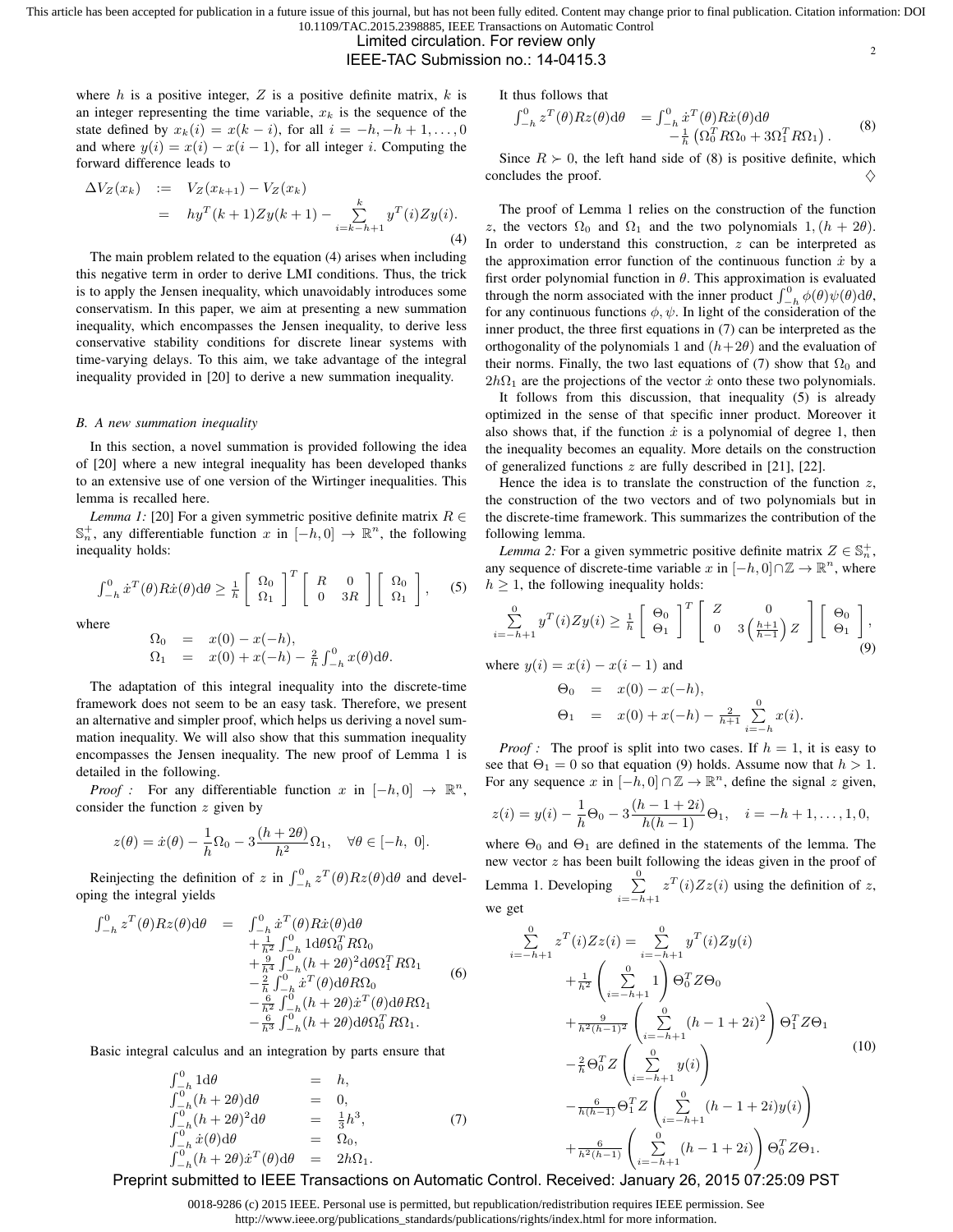Limited circulation. For review only

IEEE-TAC Submission no.: 14-0415.3

where  $h$  is a positive integer,  $Z$  is a positive definite matrix,  $k$  is an integer representing the time variable,  $x_k$  is the sequence of the state defined by  $x_k(i) = x(k - i)$ , for all  $i = -h, -h + 1, \ldots, 0$ and where  $y(i) = x(i) - x(i-1)$ , for all integer i. Computing the forward difference leads to

$$
\Delta V_Z(x_k) := V_Z(x_{k+1}) - V_Z(x_k) \n= hy^T(k+1)Zy(k+1) - \sum_{i=k-h+1}^k y^T(i)Zy(i).
$$
\n(4)

The main problem related to the equation (4) arises when including this negative term in order to derive LMI conditions. Thus, the trick is to apply the Jensen inequality, which unavoidably introduces some conservatism. In this paper, we aim at presenting a new summation inequality, which encompasses the Jensen inequality, to derive less conservative stability conditions for discrete linear systems with time-varying delays. To this aim, we take advantage of the integral inequality provided in [20] to derive a new summation inequality.

#### *B. A new summation inequality*

In this section, a novel summation is provided following the idea of [20] where a new integral inequality has been developed thanks to an extensive use of one version of the Wirtinger inequalities. This lemma is recalled here.

*Lemma 1:* [20] For a given symmetric positive definite matrix  $R \in$ S<sup>+</sup><sub>n</sub>, any differentiable function x in  $[-h, 0]$  →  $\mathbb{R}^n$ , the following inequality holds:

$$
\int_{-h}^{0} \dot{x}^{T}(\theta) R \dot{x}(\theta) d\theta \geq \frac{1}{h} \left[ \begin{array}{c} \Omega_{0} \\ \Omega_{1} \end{array} \right]^{T} \left[ \begin{array}{cc} R & 0 \\ 0 & 3R \end{array} \right] \left[ \begin{array}{c} \Omega_{0} \\ \Omega_{1} \end{array} \right], \quad (5)
$$

where

$$
\begin{array}{rcl}\n\Omega_0 & = & x(0) - x(-h), \\
\Omega_1 & = & x(0) + x(-h) - \frac{2}{h} \int_{-h}^0 x(\theta) d\theta.\n\end{array}
$$

The adaptation of this integral inequality into the discrete-time framework does not seem to be an easy task. Therefore, we present an alternative and simpler proof, which helps us deriving a novel summation inequality. We will also show that this summation inequality encompasses the Jensen inequality. The new proof of Lemma 1 is detailed in the following.

*Proof* : For any differentiable function x in  $[-h, 0] \rightarrow \mathbb{R}^n$ , consider the function  $z$  given by

$$
z(\theta) = \dot{x}(\theta) - \frac{1}{h}\Omega_0 - 3\frac{(h+2\theta)}{h^2}\Omega_1, \quad \forall \theta \in [-h, 0].
$$

Reinjecting the definition of z in  $\int_{-h}^{0} z^T(\theta) R z(\theta) d\theta$  and developing the integral yields

$$
\int_{-h}^{0} z^{T}(\theta) R z(\theta) d\theta = \int_{-h}^{0} \dot{x}^{T}(\theta) R \dot{x}(\theta) d\theta \n+ \frac{1}{h^{2}} \int_{-h}^{0} 1 d\theta \Omega_{0}^{T} R \Omega_{0} \n+ \frac{9}{h^{4}} \int_{-h}^{0} (h + 2\theta)^{2} d\theta \Omega_{1}^{T} R \Omega_{1} \n- \frac{2}{h} \int_{-h}^{0} \dot{x}^{T}(\theta) d\theta R \Omega_{0} \n- \frac{6}{h^{2}} \int_{-h}^{0} (h + 2\theta) \dot{x}^{T}(\theta) d\theta R \Omega_{1} \n- \frac{6}{h^{3}} \int_{-h}^{0} (h + 2\theta) d\theta \Omega_{0}^{T} R \Omega_{1}.
$$
\n(6)

Basic integral calculus and an integration by parts ensure that

$$
\int_{-h}^{0} 1 \, d\theta = h,
$$
\n
$$
\int_{-h}^{0} (h + 2\theta) \, d\theta = 0,
$$
\n
$$
\int_{-h}^{0} (h + 2\theta)^2 \, d\theta = \frac{1}{3} h^3,
$$
\n(7)\n
$$
\int_{-h}^{0} \dot{x}(\theta) \, d\theta = \Omega_0,
$$
\n
$$
\int_{-h}^{0} (h + 2\theta) \dot{x}^T(\theta) \, d\theta = 2h\Omega_1.
$$

It thus follows that

$$
\int_{-h}^{0} z^{T}(\theta) R z(\theta) d\theta = \int_{-h}^{0} \dot{x}^{T}(\theta) R \dot{x}(\theta) d\theta \n- \frac{1}{h} \left( \Omega_{0}^{T} R \Omega_{0} + 3 \Omega_{1}^{T} R \Omega_{1} \right).
$$
\n(8)

 $\overline{2}$ 

Since  $R \succ 0$ , the left hand side of (8) is positive definite, which concludes the proof.

The proof of Lemma 1 relies on the construction of the function z, the vectors  $\Omega_0$  and  $\Omega_1$  and the two polynomials  $1,(h+2\theta)$ . In order to understand this construction,  $z$  can be interpreted as the approximation error function of the continuous function  $\dot{x}$  by a first order polynomial function in  $\theta$ . This approximation is evaluated through the norm associated with the inner product  $\int_{-h}^{0} \phi(\theta) \psi(\theta) d\theta$ , for any continuous functions  $\phi$ ,  $\psi$ . In light of the consideration of the inner product, the three first equations in (7) can be interpreted as the orthogonality of the polynomials 1 and  $(h+2\theta)$  and the evaluation of their norms. Finally, the two last equations of (7) show that  $\Omega_0$  and  $2h\Omega_1$  are the projections of the vector  $\dot{x}$  onto these two polynomials.

It follows from this discussion, that inequality (5) is already optimized in the sense of that specific inner product. Moreover it also shows that, if the function  $\dot{x}$  is a polynomial of degree 1, then the inequality becomes an equality. More details on the construction of generalized functions z are fully described in [21], [22].

Hence the idea is to translate the construction of the function  $z$ , the construction of the two vectors and of two polynomials but in the discrete-time framework. This summarizes the contribution of the following lemma.

*Lemma 2:* For a given symmetric positive definite matrix  $Z \in \mathbb{S}_n^+$ , any sequence of discrete-time variable x in  $[-h, 0] \cap \mathbb{Z} \to \mathbb{R}^n$ , where  $h \geq 1$ , the following inequality holds:

$$
\sum_{i=-h+1}^{0} y^T(i) Z y(i) \ge \frac{1}{h} \begin{bmatrix} \Theta_0 \\ \Theta_1 \end{bmatrix}^T \begin{bmatrix} Z & 0 \\ 0 & 3 \left( \frac{h+1}{h-1} \right) Z \end{bmatrix} \begin{bmatrix} \Theta_0 \\ \Theta_1 \end{bmatrix},
$$
(9)

where  $y(i) = x(i) - x(i-1)$  and

$$
\Theta_0 = x(0) - x(-h),
$$
  
\n
$$
\Theta_1 = x(0) + x(-h) - \frac{2}{h+1} \sum_{i=-h}^{0} x(i).
$$

*Proof :* The proof is split into two cases. If  $h = 1$ , it is easy to see that  $\Theta_1 = 0$  so that equation (9) holds. Assume now that  $h > 1$ . For any sequence x in  $[-h, 0] \cap \mathbb{Z} \to \mathbb{R}^n$ , define the signal z given,

$$
z(i) = y(i) - \frac{1}{h}\Theta_0 - 3\frac{(h-1+2i)}{h(h-1)}\Theta_1, \quad i = -h+1, \dots, 1, 0,
$$

where  $\Theta_0$  and  $\Theta_1$  are defined in the statements of the lemma. The new vector z has been built following the ideas given in the proof of Lemma 1. Developing  $\sum_{i=-h+1}^{0} z^{T}(i)Zz(i)$  using the definition of z, we get

$$
\sum_{i=-h+1}^{0} z^{T}(i)Zz(i) = \sum_{i=-h+1}^{0} y^{T}(i)Zy(i)
$$
  
+ 
$$
\frac{1}{h^{2}} \left(\sum_{i=-h+1}^{0} 1\right) \Theta_{0}^{T} Z \Theta_{0}
$$
  
+ 
$$
\frac{9}{h^{2}(h-1)^{2}} \left(\sum_{i=-h+1}^{0} (h-1+2i)^{2}\right) \Theta_{1}^{T} Z \Theta_{1}
$$
  
- 
$$
\frac{2}{h} \Theta_{0}^{T} Z \left(\sum_{i=-h+1}^{0} y(i)\right)
$$
  
- 
$$
\frac{6}{h(h-1)} \Theta_{1}^{T} Z \left(\sum_{i=-h+1}^{0} (h-1+2i)y(i)\right)
$$
  
+ 
$$
\frac{6}{h^{2}(h-1)} \left(\sum_{i=-h+1}^{0} (h-1+2i)\right) \Theta_{0}^{T} Z \Theta_{1}.
$$
 (10)

Preprint submitted to IEEE Transactions on Automatic Control. Received: January 26, 2015 07:25:09 PST

0018-9286 (c) 2015 IEEE. Personal use is permitted, but republication/redistribution requires IEEE permission. See http://www.ieee.org/publications\_standards/publications/rights/index.html for more information.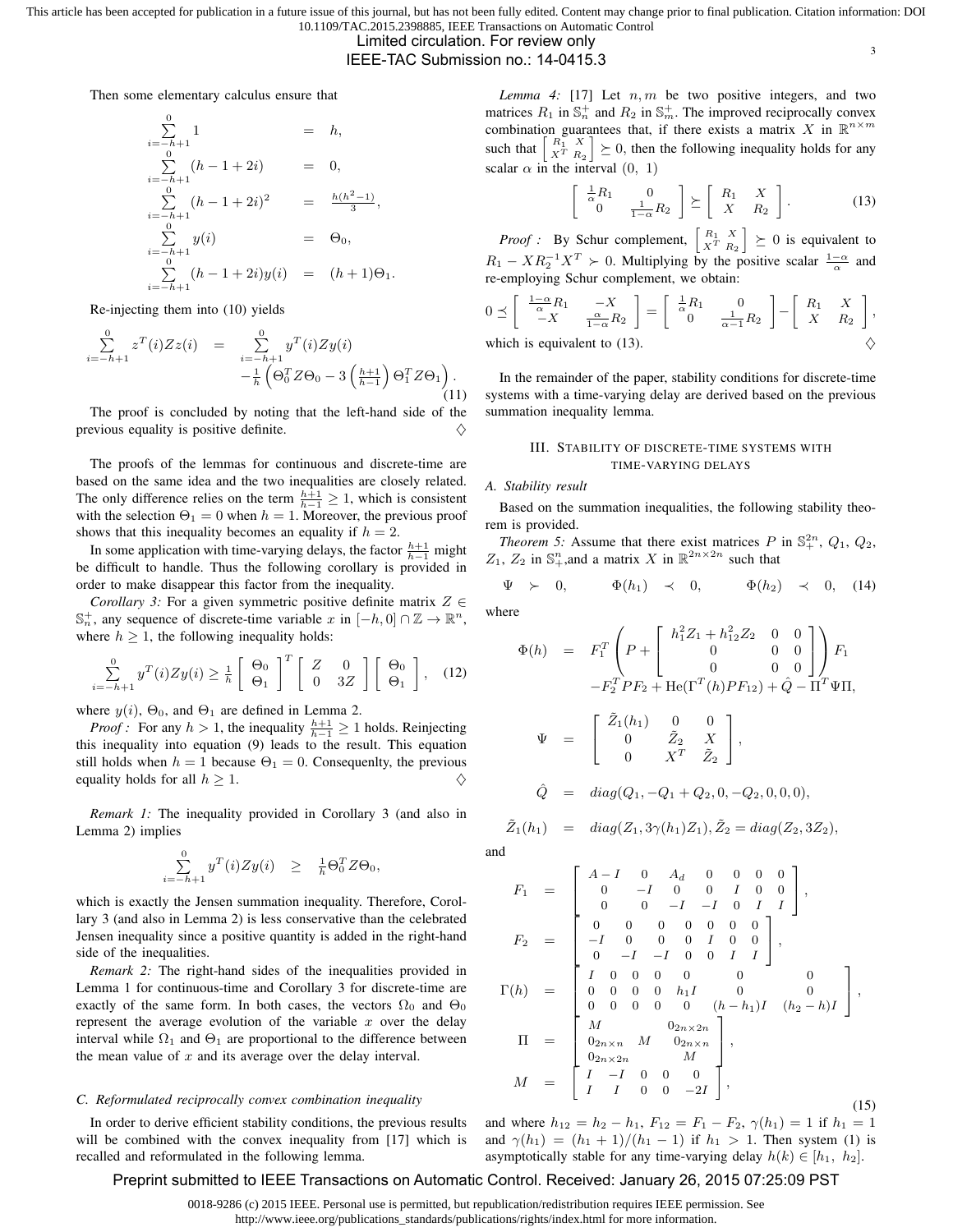# Limited circulation. For review only

IEEE-TAC Submission no.: 14-0415.3

Then some elementary calculus ensure that

$$
\sum_{i=-h+1}^{0} 1 = h,
$$
\n
$$
\sum_{i=-h+1}^{0} (h-1+2i) = 0,
$$
\n
$$
\sum_{i=-h+1}^{0} (h-1+2i)^{2} = \frac{h(h^{2}-1)}{3},
$$
\n
$$
\sum_{i=-h+1}^{0} y(i) = \Theta_{0},
$$
\n
$$
\sum_{i=-h+1}^{0} (h-1+2i)y(i) = (h+1)\Theta_{1}.
$$

Re-injecting them into (10) yields

$$
\sum_{i=-h+1}^{0} z^{T}(i) Z z(i) = \sum_{i=-h+1}^{0} y^{T}(i) Z y(i) \n- \frac{1}{h} \left( \Theta_{0}^{T} Z \Theta_{0} - 3 \left( \frac{h+1}{h-1} \right) \Theta_{1}^{T} Z \Theta_{1} \right).
$$
\n(11)

The proof is concluded by noting that the left-hand side of the previous equality is positive definite.  $\diamondsuit$ 

The proofs of the lemmas for continuous and discrete-time are based on the same idea and the two inequalities are closely related. The only difference relies on the term  $\frac{h+1}{h-1} \geq 1$ , which is consistent with the selection  $\Theta_1 = 0$  when  $h = 1$ . Moreover, the previous proof shows that this inequality becomes an equality if  $h = 2$ .

In some application with time-varying delays, the factor  $\frac{h+1}{h-1}$  might be difficult to handle. Thus the following corollary is provided in order to make disappear this factor from the inequality.

*Corollary 3:* For a given symmetric positive definite matrix  $Z \in$ S<sup>+</sup><sub>n</sub>, any sequence of discrete-time variable x in [−h, 0] ∩  $\mathbb{Z} \to \mathbb{R}^n$ , where  $h \geq 1$ , the following inequality holds:

$$
\sum_{i=-h+1}^{0} y^T(i) Z y(i) \ge \frac{1}{h} \begin{bmatrix} \Theta_0 \\ \Theta_1 \end{bmatrix}^T \begin{bmatrix} Z & 0 \\ 0 & 3Z \end{bmatrix} \begin{bmatrix} \Theta_0 \\ \Theta_1 \end{bmatrix}, \quad (12)
$$

where  $y(i)$ ,  $\Theta_0$ , and  $\Theta_1$  are defined in Lemma 2.

*Proof :* For any  $h > 1$ , the inequality  $\frac{h+1}{h-1} \geq 1$  holds. Reinjecting this inequality into equation (9) leads to the result. This equation still holds when  $h = 1$  because  $\Theta_1 = 0$ . Consequenlty, the previous equality holds for all  $h \geq 1$ .

*Remark 1:* The inequality provided in Corollary 3 (and also in Lemma 2) implies

$$
\sum_{i=-h+1}^{0} y^T(i) Z y(i) \geq \frac{1}{h} \Theta_0^T Z \Theta_0,
$$

which is exactly the Jensen summation inequality. Therefore, Corollary 3 (and also in Lemma 2) is less conservative than the celebrated Jensen inequality since a positive quantity is added in the right-hand side of the inequalities.

*Remark 2:* The right-hand sides of the inequalities provided in Lemma 1 for continuous-time and Corollary 3 for discrete-time are exactly of the same form. In both cases, the vectors  $\Omega_0$  and  $\Theta_0$ represent the average evolution of the variable  $x$  over the delay interval while  $\Omega_1$  and  $\Theta_1$  are proportional to the difference between the mean value of  $x$  and its average over the delay interval.

#### *C. Reformulated reciprocally convex combination inequality*

In order to derive efficient stability conditions, the previous results will be combined with the convex inequality from [17] which is recalled and reformulated in the following lemma.

*Lemma 4:* [17] Let  $n, m$  be two positive integers, and two matrices  $R_1$  in  $\mathbb{S}_n^+$  and  $R_2$  in  $\mathbb{S}_m^+$ . The improved reciprocally convex combination guarantees that, if there exists a matrix X in  $\mathbb{R}^{n \times m}$ such that  $\begin{bmatrix} R_1^T & X \\ X^T & R_2 \end{bmatrix} \succeq 0$ , then the following inequality holds for any scalar  $\alpha$  in the interval  $(0, 1)$ 

$$
\begin{bmatrix} \frac{1}{\alpha}R_1 & 0\\ 0 & \frac{1}{1-\alpha}R_2 \end{bmatrix} \succeq \begin{bmatrix} R_1 & X\\ X & R_2 \end{bmatrix}.
$$
 (13)

3

*Proof :* By Schur complement,  $\begin{bmatrix} R_1 & X \\ X^T & R_2 \end{bmatrix} \geq 0$  is equivalent to  $R_1 - X R_2^{-1} X^T \succ 0$ . Multiplying by the positive scalar  $\frac{1-\alpha}{\alpha}$  and re-employing Schur complement, we obtain:

$$
0 \preceq \left[ \begin{array}{cc} \frac{1-\alpha}{\alpha} R_1 & -X \\ -X & \frac{\alpha}{1-\alpha} R_2 \end{array} \right] = \left[ \begin{array}{cc} \frac{1}{\alpha} R_1 & 0 \\ 0 & \frac{1}{\alpha-1} R_2 \end{array} \right] - \left[ \begin{array}{cc} R_1 & X \\ X & R_2 \end{array} \right],
$$
  
which is equivalent to (13).

In the remainder of the paper, stability conditions for discrete-time systems with a time-varying delay are derived based on the previous summation inequality lemma.

# III. STABILITY OF DISCRETE-TIME SYSTEMS WITH TIME-VARYING DELAYS

#### *A. Stability result*

Based on the summation inequalities, the following stability theorem is provided.

*Theorem 5:* Assume that there exist matrices  $P$  in  $\mathbb{S}^{2n}_+$ ,  $Q_1$ ,  $Q_2$ ,  $Z_1$ ,  $Z_2$  in  $\mathbb{S}^n_+$ , and a matrix X in  $\mathbb{R}^{2n \times 2n}$  such that

$$
\Psi \succ 0, \qquad \Phi(h_1) \prec 0, \qquad \Phi(h_2) \prec 0, \quad (14)
$$

where

$$
\Phi(h) = F_1^T \left( P + \begin{bmatrix} h_1^2 Z_1 + h_{12}^2 Z_2 & 0 & 0 \\ 0 & 0 & 0 \\ 0 & 0 & 0 \end{bmatrix} \right) F_1
$$
  
\n
$$
-F_2^T P F_2 + \text{He}(\Gamma^T(h) P F_{12}) + \hat{Q} - \Pi^T \Psi \Pi,
$$
  
\n
$$
\Psi = \begin{bmatrix} \tilde{Z}_1(h_1) & 0 & 0 \\ 0 & \tilde{Z}_2 & X \\ 0 & X^T & \tilde{Z}_2 \end{bmatrix},
$$
  
\n
$$
\hat{Q} = diag(Q_1, -Q_1 + Q_2, 0, -Q_2, 0, 0, 0),
$$

$$
\tilde{Z}_1(h_1) = diag(Z_1, 3\gamma(h_1)Z_1), \tilde{Z}_2 = diag(Z_2, 3Z_2),
$$

and

$$
F_1 = \begin{bmatrix} A-I & 0 & A_d & 0 & 0 & 0 & 0 \\ 0 & -I & 0 & 0 & I & 0 & 0 \\ 0 & 0 & -I & -I & 0 & I & I \\ 0 & 0 & 0 & 0 & 0 & 0 & 0 \\ 0 & -I & -I & 0 & 0 & I & 0 & 0 \\ 0 & -I & -I & 0 & 0 & I & I \end{bmatrix},
$$
  
\n
$$
\Gamma(h) = \begin{bmatrix} I & 0 & 0 & 0 & 0 & 0 & 0 \\ I & 0 & 0 & 0 & 0 & 0 & 0 \\ 0 & 0 & 0 & 0 & h_1I & 0 & 0 & 0 \\ 0 & 0 & 0 & 0 & (h-h_1)I & (h_2-h)I \\ 0 & 0 & 0 & 0 & 0 & (h-h_1)I & (h_2-h)I \end{bmatrix},
$$
  
\n
$$
\Pi = \begin{bmatrix} M & 0_{2n \times 2n} \\ 0_{2n \times n} & M & 0_{2n \times n} \\ 0_{2n \times 2n} & M & 0 \\ I & I & 0 & 0 & -2I \end{bmatrix},
$$
\n(15)

and where  $h_{12} = h_2 - h_1$ ,  $F_{12} = F_1 - F_2$ ,  $\gamma(h_1) = 1$  if  $h_1 = 1$ and  $\gamma(h_1) = (h_1 + 1)/(h_1 - 1)$  if  $h_1 > 1$ . Then system (1) is asymptotically stable for any time-varying delay  $h(k) \in [h_1, h_2]$ .

# Preprint submitted to IEEE Transactions on Automatic Control. Received: January 26, 2015 07:25:09 PST

0018-9286 (c) 2015 IEEE. Personal use is permitted, but republication/redistribution requires IEEE permission. See

http://www.ieee.org/publications\_standards/publications/rights/index.html for more information.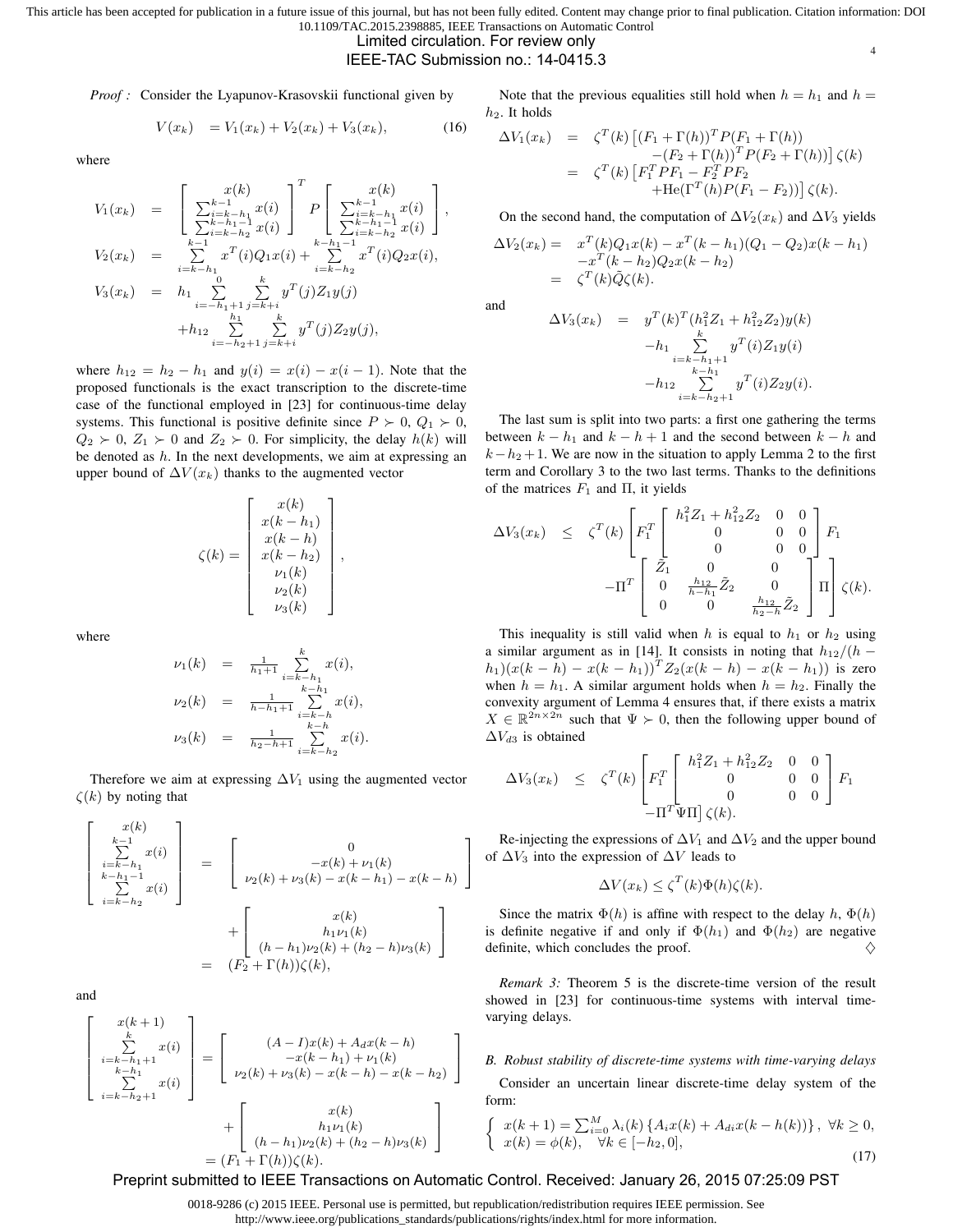# Limited circulation. For review only

# IEEE-TAC Submission no.: 14-0415.3

*Proof :* Consider the Lyapunov-Krasovskii functional given by

 $V(x_k) = V_1(x_k) + V_2(x_k) + V_3(x_k),$  (16)

where

$$
V_1(x_k) = \begin{bmatrix} x(k) & x(k) \\ \sum_{i=k-h_1}^{k-1} x(i) & P \begin{bmatrix} x(k) \\ \sum_{i=k-h_1}^{k-1} x(i) \end{bmatrix}, \\ V_2(x_k) = \sum_{i=k-h_1}^{k-h_1-1} x(i)Q_1x(i) + \sum_{i=k-h_2}^{k-h_1-1} x^T(i)Q_2x(i), \\ V_3(x_k) = h_1 \sum_{i=-h_1+1}^{0} \sum_{j=k+i}^{k} y^T(j)Z_1y(j) \\ h_1 \sum_{i=-h_1+1}^{h_1} \sum_{j=k+i}^{k} y^T(j)Z_2y(j), \\ h_2 \sum_{i=-h_2+1}^{h_2} \sum_{j=k+i}^{k} y^T(j)Z_2y(j), \end{bmatrix}
$$

where  $h_{12} = h_2 - h_1$  and  $y(i) = x(i) - x(i-1)$ . Note that the proposed functionals is the exact transcription to the discrete-time case of the functional employed in [23] for continuous-time delay systems. This functional is positive definite since  $P \succ 0$ ,  $Q_1 \succ 0$ ,  $Q_2 \succ 0$ ,  $Z_1 \succ 0$  and  $Z_2 \succ 0$ . For simplicity, the delay  $h(k)$  will be denoted as  $h$ . In the next developments, we aim at expressing an upper bound of  $\Delta V(x_k)$  thanks to the augmented vector

$$
\zeta(k) = \begin{bmatrix} x(k) \\ x(k-h_1) \\ x(k-h) \\ x(k-h_2) \\ \nu_1(k) \\ \nu_2(k) \\ \nu_3(k) \end{bmatrix},
$$

where

$$
\nu_1(k) = \frac{1}{h_1+1} \sum_{i=k-h_1}^{k} x(i),
$$
  
\n
$$
\nu_2(k) = \frac{1}{h-h_1+1} \sum_{i=k-h}^{k-h_1} x(i),
$$
  
\n
$$
\nu_3(k) = \frac{1}{h_2-h+1} \sum_{i=k-h_2}^{k-h} x(i).
$$

Therefore we aim at expressing  $\Delta V_1$  using the augmented vector  $\zeta(k)$  by noting that

$$
\begin{bmatrix}\nx(k) \\
\sum_{i=k-h_1}^{k-1} x(i) \\
\sum_{i=k-h_2}^{k-h_1-1} x(i)\n\end{bmatrix} = \begin{bmatrix}\n0 \\
-x(k) + \nu_1(k) \\
\nu_2(k) + \nu_3(k) - x(k-h_1) - x(k-h) \\
\vdots \\
u_{1} \nu_1(k) + \nu_2(k) + (h_2 - h)\nu_3(k)\n\end{bmatrix}
$$
\n
$$
= (F_2 + \Gamma(h))\zeta(k),
$$

and

$$
\begin{bmatrix}\nx(k+1) \\
\sum_{i=k-h_1+1}^{k} x(i) \\
\sum_{k=h_1+1}^{k-h_1+1} x(i)\n\end{bmatrix} = \begin{bmatrix}\n(A-I)x(k) + A_d x(k-h) \\
-x(k-h_1) + \nu_1(k) \\
\nu_2(k) + \nu_3(k) - x(k-h) - x(k-h_2)\n\end{bmatrix} + \begin{bmatrix}\nx(k) \\
h_1 \nu_1(k) \\
(h-h_1) \nu_2(k) + (h_2 - h) \nu_3(k)\n\end{bmatrix}
$$
\n
$$
= (F_1 + \Gamma(h))\zeta(k).
$$

Note that the previous equalities still hold when  $h = h_1$  and  $h =$  $h_2$ . It holds

4

$$
\Delta V_1(x_k) = \zeta^T(k) \left[ (F_1 + \Gamma(h))^T P (F_1 + \Gamma(h)) - (F_2 + \Gamma(h))^T P (F_2 + \Gamma(h)) \right] \zeta(k)
$$
  
=  $\zeta^T(k) \left[ F_1^T P F_1 - F_2^T P F_2 + \left[ F_1^T(h) P (F_1 - F_2) \right] \right] \zeta(k).$ 

On the second hand, the computation of  $\Delta V_2(x_k)$  and  $\Delta V_3$  yields

$$
\Delta V_2(x_k) = x^T(k)Q_1x(k) - x^T(k - h_1)(Q_1 - Q_2)x(k - h_1) -x^T(k - h_2)Q_2x(k - h_2) = \zeta^T(k)\tilde{Q}\zeta(k).
$$

and

$$
\Delta V_3(x_k) = y^T(k)^T (h_1^2 Z_1 + h_{12}^2 Z_2) y(k)
$$
  

$$
-h_1 \sum_{\substack{i=k-h_1+1 \\ k=h_1 \\ i=k-h_2+1}}^k y^T(i) Z_1 y(i)
$$
  

$$
-h_{12} \sum_{\substack{i=k-h_2+1 \\ i=k-h_2+1}}^k y^T(i) Z_2 y(i).
$$

The last sum is split into two parts: a first one gathering the terms between  $k - h_1$  and  $k - h + 1$  and the second between  $k - h$  and  $k-h_2+1$ . We are now in the situation to apply Lemma 2 to the first term and Corollary 3 to the two last terms. Thanks to the definitions of the matrices  $F_1$  and  $\Pi$ , it yields

$$
\Delta V_3(x_k) \leq \zeta^T(k) \begin{bmatrix} F_1^T & h_1^2 Z_1 + h_{12}^2 Z_2 & 0 & 0 \\ F_1^T & 0 & 0 & 0 \\ 0 & 0 & 0 & 0 \\ -\Pi^T & 0 & \frac{h_{12}}{h-h_1} \tilde{Z}_2 & 0 \\ 0 & 0 & \frac{h_{12}}{h_2 - h} \tilde{Z}_2 \end{bmatrix} F_1
$$

This inequality is still valid when h is equal to  $h_1$  or  $h_2$  using a similar argument as in [14]. It consists in noting that  $h_{12}/(h (h_1)(x(k-h) - x(k-h_1))^T Z_2(x(k-h) - x(k-h_1))$  is zero when  $h = h_1$ . A similar argument holds when  $h = h_2$ . Finally the convexity argument of Lemma 4 ensures that, if there exists a matrix  $X \in \mathbb{R}^{2n \times 2n}$  such that  $\Psi \succ 0$ , then the following upper bound of  $\Delta V_{d3}$  is obtained

$$
\Delta V_3(x_k) \leq \zeta^T(k) \begin{bmatrix} F_1^T \begin{bmatrix} h_1^2 Z_1 + h_{12}^2 Z_2 & 0 & 0 \\ 0 & 0 & 0 \\ 0 & 0 & 0 \end{bmatrix} F_1 \\ -\Pi^T \Psi \Pi \end{bmatrix} \zeta(k).
$$

Re-injecting the expressions of  $\Delta V_1$  and  $\Delta V_2$  and the upper bound of  $\Delta V_3$  into the expression of  $\Delta V$  leads to

$$
\Delta V(x_k) \le \zeta^T(k)\Phi(h)\zeta(k).
$$

Since the matrix  $\Phi(h)$  is affine with respect to the delay h,  $\Phi(h)$ is definite negative if and only if  $\Phi(h_1)$  and  $\Phi(h_2)$  are negative definite, which concludes the proof.  $\diamondsuit$ 

*Remark 3:* Theorem 5 is the discrete-time version of the result showed in [23] for continuous-time systems with interval timevarying delays.

# *B. Robust stability of discrete-time systems with time-varying delays*

Consider an uncertain linear discrete-time delay system of the form:

$$
\begin{cases}\nx(k+1) = \sum_{i=0}^{M} \lambda_i(k) \{ A_i x(k) + A_{di} x(k - h(k)) \}, \ \forall k \ge 0, \\
x(k) = \phi(k), \ \forall k \in [-h_2, 0],\n\end{cases}
$$
\n(17)

# Preprint submitted to IEEE Transactions on Automatic Control. Received: January 26, 2015 07:25:09 PST

0018-9286 (c) 2015 IEEE. Personal use is permitted, but republication/redistribution requires IEEE permission. See http://www.ieee.org/publications\_standards/publications/rights/index.html for more information.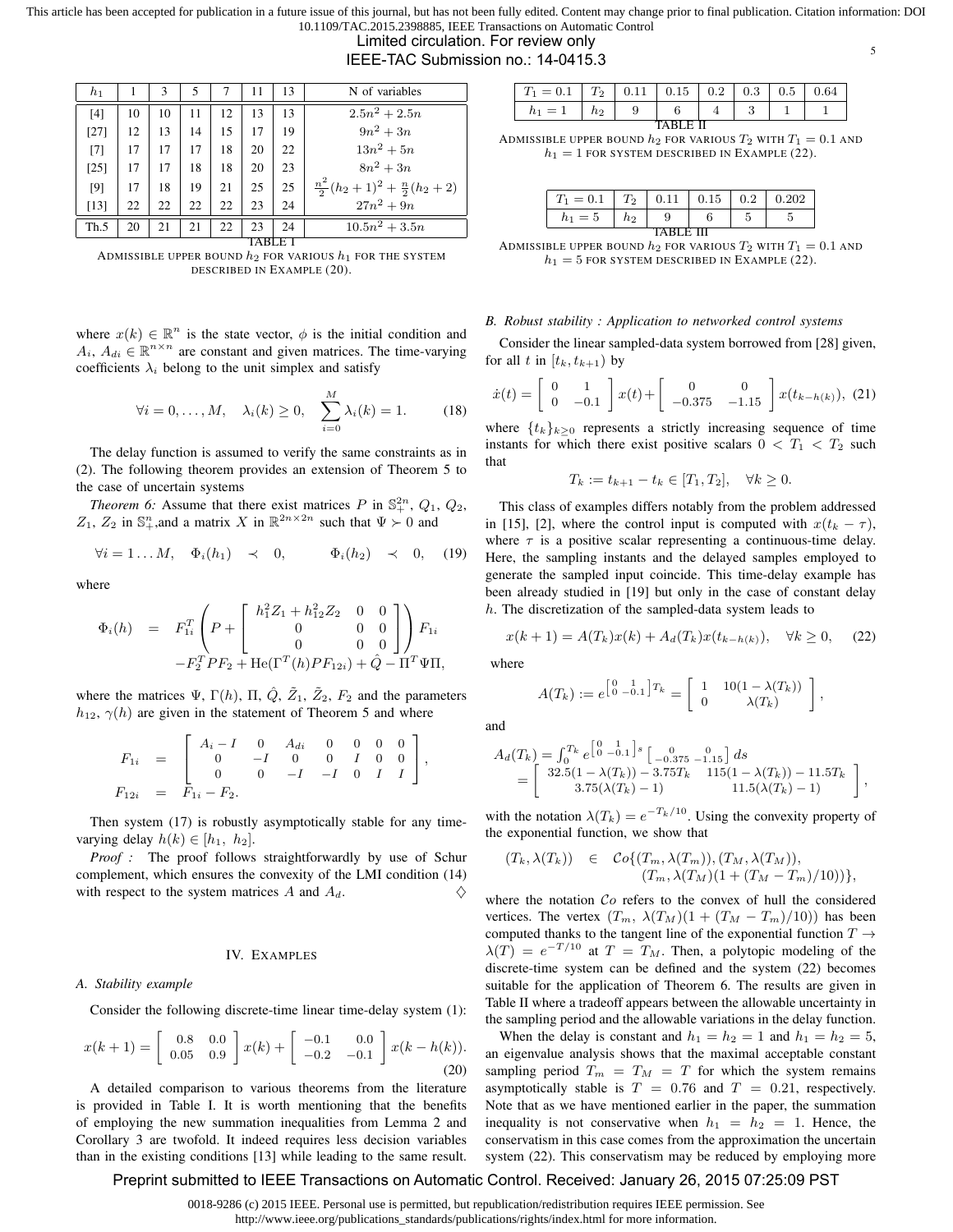Limited circulation. For review only

IEEE-TAC Submission no.: 14-0415.3

| $h_1$  |    | 3  | 5  |    | 11 | 13 | N of variables                              |  |
|--------|----|----|----|----|----|----|---------------------------------------------|--|
| $[4]$  | 10 | 10 | 11 | 12 | 13 | 13 | $2.5n^2 + 2.5n$                             |  |
| $[27]$ | 12 | 13 | 14 | 15 | 17 | 19 | $9n^2 + 3n$                                 |  |
| $[7]$  | 17 | 17 | 17 | 18 | 20 | 22 | $13n^2 + 5n$                                |  |
| $[25]$ | 17 | 17 | 18 | 18 | 20 | 23 | $8n^2+3n$                                   |  |
| [9]    | 17 | 18 | 19 | 21 | 25 | 25 | $\frac{n^2}{2}(h_2+1)^2+\frac{n}{2}(h_2+2)$ |  |
| [13]   | 22 | 22 | 22 | 22 | 23 | 24 | $27n^2 + 9n$                                |  |
| Th.5   | 20 | 21 | 21 | 22 | 23 | 24 | $10.5n^2 + 3.5n$                            |  |
|        |    |    |    |    |    |    |                                             |  |

ADMISSIBLE UPPER BOUND  $h_2$  FOR VARIOUS  $h_1$  for the system DESCRIBED IN EXAMPLE (20).

where  $x(k) \in \mathbb{R}^n$  is the state vector,  $\phi$  is the initial condition and  $A_i$ ,  $A_{di} \in \mathbb{R}^{n \times n}$  are constant and given matrices. The time-varying coefficients  $\lambda_i$  belong to the unit simplex and satisfy

$$
\forall i = 0, \dots, M, \quad \lambda_i(k) \ge 0, \quad \sum_{i=0}^{M} \lambda_i(k) = 1. \tag{18}
$$

The delay function is assumed to verify the same constraints as in (2). The following theorem provides an extension of Theorem 5 to the case of uncertain systems

*Theorem 6:* Assume that there exist matrices P in  $\mathbb{S}^{2n}_+$ ,  $Q_1$ ,  $Q_2$ ,  $Z_1$ ,  $Z_2$  in  $\mathbb{S}^n_+$ , and a matrix X in  $\mathbb{R}^{2n \times 2n}$  such that  $\Psi \succ 0$  and

$$
\forall i=1 \ldots M, \quad \Phi_i(h_1) \quad \prec \quad 0, \qquad \Phi_i(h_2) \quad \prec \quad 0, \quad (19)
$$

where

$$
\Phi_i(h) = F_{1i}^T \left( P + \begin{bmatrix} h_1^2 Z_1 + h_{12}^2 Z_2 & 0 & 0 \\ 0 & 0 & 0 \\ 0 & 0 & 0 \end{bmatrix} \right) F_{1i} - F_2^T P F_2 + \text{He}(\Gamma^T(h) P F_{12i}) + \hat{Q} - \Pi^T \Psi \Pi,
$$

where the matrices  $\Psi$ ,  $\Gamma(h)$ ,  $\Pi$ ,  $\hat{Q}$ ,  $\tilde{Z}_1$ ,  $\tilde{Z}_2$ ,  $F_2$  and the parameters  $h_{12}$ ,  $\gamma(h)$  are given in the statement of Theorem 5 and where

$$
F_{1i} = \begin{bmatrix} A_i - I & 0 & A_{di} & 0 & 0 & 0 & 0 \\ 0 & -I & 0 & 0 & I & 0 & 0 \\ 0 & 0 & -I & -I & 0 & I & I \end{bmatrix},
$$
  
\n
$$
F_{12i} = F_{1i} - F_{2}.
$$

Then system (17) is robustly asymptotically stable for any timevarying delay  $h(k) \in [h_1, h_2]$ .

*Proof :* The proof follows straightforwardly by use of Schur complement, which ensures the convexity of the LMI condition (14) with respect to the system matrices  $A$  and  $A_d$ .

# IV. EXAMPLES

#### *A. Stability example*

Consider the following discrete-time linear time-delay system (1):

$$
x(k+1) = \begin{bmatrix} 0.8 & 0.0 \\ 0.05 & 0.9 \end{bmatrix} x(k) + \begin{bmatrix} -0.1 & 0.0 \\ -0.2 & -0.1 \end{bmatrix} x(k - h(k)).
$$
\n(20)

A detailed comparison to various theorems from the literature is provided in Table I. It is worth mentioning that the benefits of employing the new summation inequalities from Lemma 2 and Corollary 3 are twofold. It indeed requires less decision variables than in the existing conditions [13] while leading to the same result.

| $= 0.1$   | Ŧэ             | 0.11 | 0.15 |  | $0.2 \,   \, 0.3 \,  $ | $0.5\,$ | 0.64 |  |
|-----------|----------------|------|------|--|------------------------|---------|------|--|
| $h_1 = 1$ | n <sub>2</sub> |      |      |  |                        |         |      |  |
|           |                |      |      |  |                        |         |      |  |

5

ADMISSIBLE UPPER BOUND  $h_2$  FOR VARIOUS  $T_2$  with  $T_1 = 0.1$  and  $h_1 = 1$  FOR SYSTEM DESCRIBED IN EXAMPLE (22).

| $T_1 = 0.1$ | $T_2$ | 0.11 | 0.15 | 0.2 | 0.202 |  |  |  |
|-------------|-------|------|------|-----|-------|--|--|--|
| $h_1 = 5$   | h2    |      |      |     |       |  |  |  |
| TARI F III  |       |      |      |     |       |  |  |  |

ADMISSIBLE UPPER BOUND  $h_2$  FOR VARIOUS  $T_2$  with  $T_1 = 0.1$  and  $h_1 = 5$  FOR SYSTEM DESCRIBED IN EXAMPLE (22).

## *B. Robust stability : Application to networked control systems*

Consider the linear sampled-data system borrowed from [28] given, for all t in  $[t_k, t_{k+1})$  by

$$
\dot{x}(t) = \begin{bmatrix} 0 & 1 \\ 0 & -0.1 \end{bmatrix} x(t) + \begin{bmatrix} 0 & 0 \\ -0.375 & -1.15 \end{bmatrix} x(t_{k-h(k)}), (21)
$$

where  $\{t_k\}_{k\geq 0}$  represents a strictly increasing sequence of time instants for which there exist positive scalars  $0 < T_1 < T_2$  such that

$$
T_k := t_{k+1} - t_k \in [T_1, T_2], \quad \forall k \ge 0.
$$

This class of examples differs notably from the problem addressed in [15], [2], where the control input is computed with  $x(t_k - \tau)$ , where  $\tau$  is a positive scalar representing a continuous-time delay. Here, the sampling instants and the delayed samples employed to generate the sampled input coincide. This time-delay example has been already studied in [19] but only in the case of constant delay h. The discretization of the sampled-data system leads to

$$
x(k+1) = A(T_k)x(k) + A_d(T_k)x(t_{k-h(k)}), \quad \forall k \ge 0,
$$
 (22)

where

$$
A(T_k) := e^{\begin{bmatrix} 0 & 1 \\ 0 & -0.1 \end{bmatrix} T_k} = \begin{bmatrix} 1 & 10(1 - \lambda(T_k)) \\ 0 & \lambda(T_k) \end{bmatrix},
$$

and

$$
A_d(T_k) = \int_0^{T_k} e^{\begin{bmatrix} 0 & 1 \ 0 & -0.1 \end{bmatrix} s} \begin{bmatrix} 0 & 0 \ -0.375 & -0.15 \end{bmatrix} ds
$$
  
= 
$$
\begin{bmatrix} 32.5(1 - \lambda(T_k)) - 3.75T_k & 115(1 - \lambda(T_k)) - 11.5T_k \\ 3.75(\lambda(T_k) - 1) & 11.5(\lambda(T_k) - 1) \end{bmatrix},
$$

with the notation  $\lambda(T_k) = e^{-T_k/10}$ . Using the convexity property of the exponential function, we show that

$$
(T_k, \lambda(T_k)) \in \mathcal{C}o\{(T_m, \lambda(T_m)), (T_M, \lambda(T_M)),(T_m, \lambda(T_M)(1+(T_M-T_m)/10))\},\
$$

where the notation  $Co$  refers to the convex of hull the considered vertices. The vertex  $(T_m, \lambda(T_M)(1 + (T_M - T_m)/10))$  has been computed thanks to the tangent line of the exponential function  $T \rightarrow$  $\lambda(T) = e^{-T/10}$  at  $T = T_M$ . Then, a polytopic modeling of the discrete-time system can be defined and the system (22) becomes suitable for the application of Theorem 6. The results are given in Table II where a tradeoff appears between the allowable uncertainty in the sampling period and the allowable variations in the delay function.

When the delay is constant and  $h_1 = h_2 = 1$  and  $h_1 = h_2 = 5$ , an eigenvalue analysis shows that the maximal acceptable constant sampling period  $T_m = T_M = T$  for which the system remains asymptotically stable is  $T = 0.76$  and  $T = 0.21$ , respectively. Note that as we have mentioned earlier in the paper, the summation inequality is not conservative when  $h_1 = h_2 = 1$ . Hence, the conservatism in this case comes from the approximation the uncertain system (22). This conservatism may be reduced by employing more

# Preprint submitted to IEEE Transactions on Automatic Control. Received: January 26, 2015 07:25:09 PST

0018-9286 (c) 2015 IEEE. Personal use is permitted, but republication/redistribution requires IEEE permission. See

http://www.ieee.org/publications\_standards/publications/rights/index.html for more information.